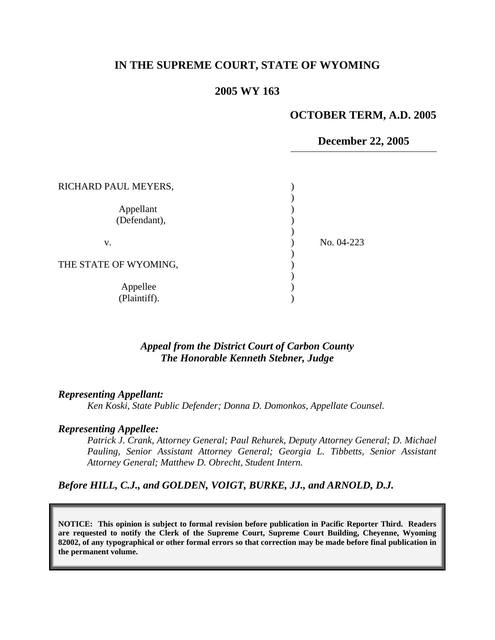## **IN THE SUPREME COURT, STATE OF WYOMING**

### **2005 WY 163**

### **OCTOBER TERM, A.D. 2005**

#### **December 22, 2005**

| RICHARD PAUL MEYERS,      |            |
|---------------------------|------------|
| Appellant<br>(Defendant), |            |
| v.                        | No. 04-223 |
| THE STATE OF WYOMING,     |            |
| Appellee<br>(Plaintiff).  |            |

### *Appeal from the District Court of Carbon County The Honorable Kenneth Stebner, Judge*

#### *Representing Appellant:*

*Ken Koski, State Public Defender; Donna D. Domonkos, Appellate Counsel.* 

#### *Representing Appellee:*

*Patrick J. Crank, Attorney General; Paul Rehurek, Deputy Attorney General; D. Michael Pauling, Senior Assistant Attorney General; Georgia L. Tibbetts, Senior Assistant Attorney General; Matthew D. Obrecht, Student Intern.* 

### *Before HILL, C.J., and GOLDEN, VOIGT, BURKE, JJ., and ARNOLD, D.J.*

**NOTICE: This opinion is subject to formal revision before publication in Pacific Reporter Third. Readers are requested to notify the Clerk of the Supreme Court, Supreme Court Building, Cheyenne, Wyoming 82002, of any typographical or other formal errors so that correction may be made before final publication in the permanent volume.**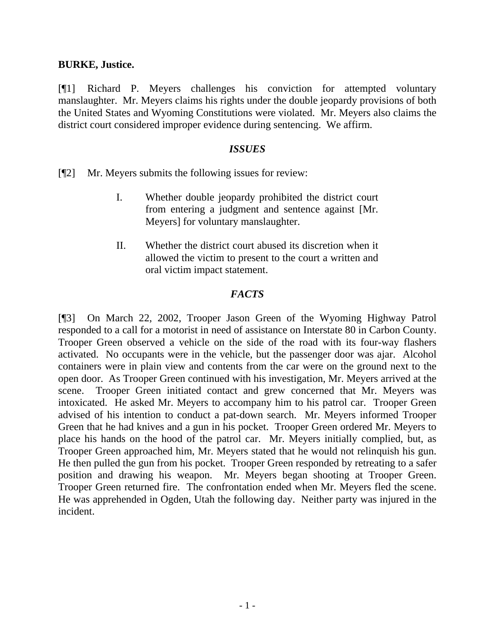### **BURKE, Justice.**

[¶1] Richard P. Meyers challenges his conviction for attempted voluntary manslaughter. Mr. Meyers claims his rights under the double jeopardy provisions of both the United States and Wyoming Constitutions were violated. Mr. Meyers also claims the district court considered improper evidence during sentencing. We affirm.

### *ISSUES*

[¶2] Mr. Meyers submits the following issues for review:

- I. Whether double jeopardy prohibited the district court from entering a judgment and sentence against [Mr. Meyers] for voluntary manslaughter.
- II. Whether the district court abused its discretion when it allowed the victim to present to the court a written and oral victim impact statement.

## *FACTS*

[¶3] On March 22, 2002, Trooper Jason Green of the Wyoming Highway Patrol responded to a call for a motorist in need of assistance on Interstate 80 in Carbon County. Trooper Green observed a vehicle on the side of the road with its four-way flashers activated. No occupants were in the vehicle, but the passenger door was ajar. Alcohol containers were in plain view and contents from the car were on the ground next to the open door. As Trooper Green continued with his investigation, Mr. Meyers arrived at the scene. Trooper Green initiated contact and grew concerned that Mr. Meyers was intoxicated. He asked Mr. Meyers to accompany him to his patrol car. Trooper Green advised of his intention to conduct a pat-down search. Mr. Meyers informed Trooper Green that he had knives and a gun in his pocket. Trooper Green ordered Mr. Meyers to place his hands on the hood of the patrol car. Mr. Meyers initially complied, but, as Trooper Green approached him, Mr. Meyers stated that he would not relinquish his gun. He then pulled the gun from his pocket. Trooper Green responded by retreating to a safer position and drawing his weapon. Mr. Meyers began shooting at Trooper Green. Trooper Green returned fire. The confrontation ended when Mr. Meyers fled the scene. He was apprehended in Ogden, Utah the following day. Neither party was injured in the incident.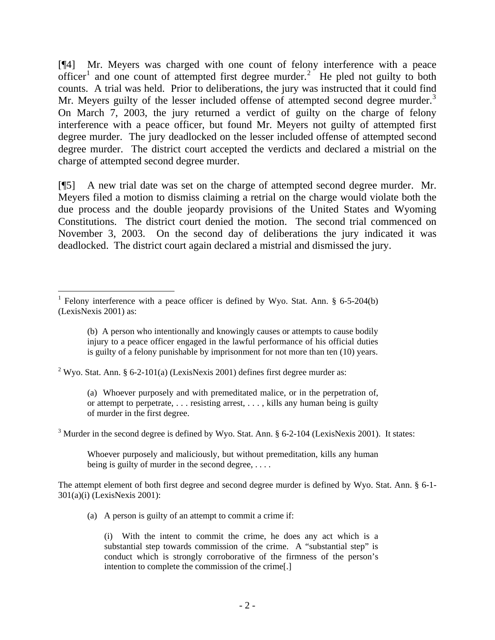[¶4] Mr. Meyers was charged with one count of felony interference with a peace officer<sup>[1](#page-2-0)</sup> and one count of attempted first degree murder.<sup>[2](#page-2-1)</sup> He pled not guilty to both counts. A trial was held. Prior to deliberations, the jury was instructed that it could find Mr. Meyers guilty of the lesser included offense of attempted second degree murder.<sup>[3](#page-2-2)</sup> On March 7, 2003, the jury returned a verdict of guilty on the charge of felony interference with a peace officer, but found Mr. Meyers not guilty of attempted first degree murder. The jury deadlocked on the lesser included offense of attempted second degree murder. The district court accepted the verdicts and declared a mistrial on the charge of attempted second degree murder.

[¶5] A new trial date was set on the charge of attempted second degree murder. Mr. Meyers filed a motion to dismiss claiming a retrial on the charge would violate both the due process and the double jeopardy provisions of the United States and Wyoming Constitutions. The district court denied the motion. The second trial commenced on November 3, 2003. On the second day of deliberations the jury indicated it was deadlocked. The district court again declared a mistrial and dismissed the jury.

<span id="page-2-1"></span><sup>2</sup> Wyo. Stat. Ann. § 6-2-101(a) (LexisNexis 2001) defines first degree murder as:

 $\overline{a}$ 

(a) Whoever purposely and with premeditated malice, or in the perpetration of, or attempt to perpetrate, . . . resisting arrest, . . . , kills any human being is guilty of murder in the first degree.

<span id="page-2-2"></span> $3$  Murder in the second degree is defined by Wyo. Stat. Ann.  $\S 6$ -2-104 (LexisNexis 2001). It states:

Whoever purposely and maliciously, but without premeditation, kills any human being is guilty of murder in the second degree, ....

The attempt element of both first degree and second degree murder is defined by Wyo. Stat. Ann. § 6-1- 301(a)(i) (LexisNexis 2001):

(a) A person is guilty of an attempt to commit a crime if:

(i) With the intent to commit the crime, he does any act which is a substantial step towards commission of the crime. A "substantial step" is conduct which is strongly corroborative of the firmness of the person's intention to complete the commission of the crime[.]

<span id="page-2-0"></span><sup>&</sup>lt;sup>1</sup> Felony interference with a peace officer is defined by Wyo. Stat. Ann.  $\S$  6-5-204(b) (LexisNexis 2001) as:

<sup>(</sup>b) A person who intentionally and knowingly causes or attempts to cause bodily injury to a peace officer engaged in the lawful performance of his official duties is guilty of a felony punishable by imprisonment for not more than ten (10) years.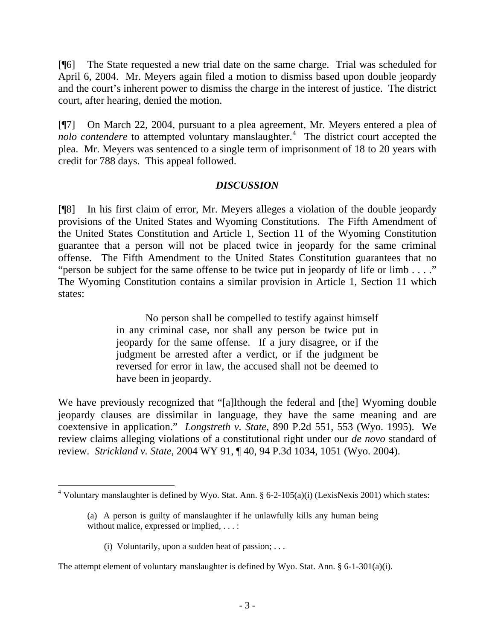[¶6] The State requested a new trial date on the same charge. Trial was scheduled for April 6, 2004. Mr. Meyers again filed a motion to dismiss based upon double jeopardy and the court's inherent power to dismiss the charge in the interest of justice. The district court, after hearing, denied the motion.

[¶7] On March 22, 2004, pursuant to a plea agreement, Mr. Meyers entered a plea of nolo contendere to attempted voluntary manslaughter.<sup>[4](#page-3-0)</sup> The district court accepted the plea. Mr. Meyers was sentenced to a single term of imprisonment of 18 to 20 years with credit for 788 days. This appeal followed.

# *DISCUSSION*

[¶8] In his first claim of error, Mr. Meyers alleges a violation of the double jeopardy provisions of the United States and Wyoming Constitutions. The Fifth Amendment of the United States Constitution and Article 1, Section 11 of the Wyoming Constitution guarantee that a person will not be placed twice in jeopardy for the same criminal offense. The Fifth Amendment to the United States Constitution guarantees that no "person be subject for the same offense to be twice put in jeopardy of life or limb . . . ." The Wyoming Constitution contains a similar provision in Article 1, Section 11 which states:

> No person shall be compelled to testify against himself in any criminal case, nor shall any person be twice put in jeopardy for the same offense. If a jury disagree, or if the judgment be arrested after a verdict, or if the judgment be reversed for error in law, the accused shall not be deemed to have been in jeopardy.

We have previously recognized that "[a]lthough the federal and [the] Wyoming double jeopardy clauses are dissimilar in language, they have the same meaning and are coextensive in application." *Longstreth v. State*, 890 P.2d 551, 553 (Wyo. 1995). We review claims alleging violations of a constitutional right under our *de novo* standard of review. *Strickland v. State,* 2004 WY 91, ¶ 40, 94 P.3d 1034, 1051 (Wyo. 2004).

(i) Voluntarily, upon a sudden heat of passion;  $\dots$ 

 $\overline{a}$ 

<span id="page-3-0"></span><sup>&</sup>lt;sup>4</sup> Voluntary manslaughter is defined by Wyo. Stat. Ann. § 6-2-105(a)(i) (LexisNexis 2001) which states:

<sup>(</sup>a) A person is guilty of manslaughter if he unlawfully kills any human being without malice, expressed or implied, . . . :

The attempt element of voluntary manslaughter is defined by Wyo. Stat. Ann.  $\S 6$ -1-301(a)(i).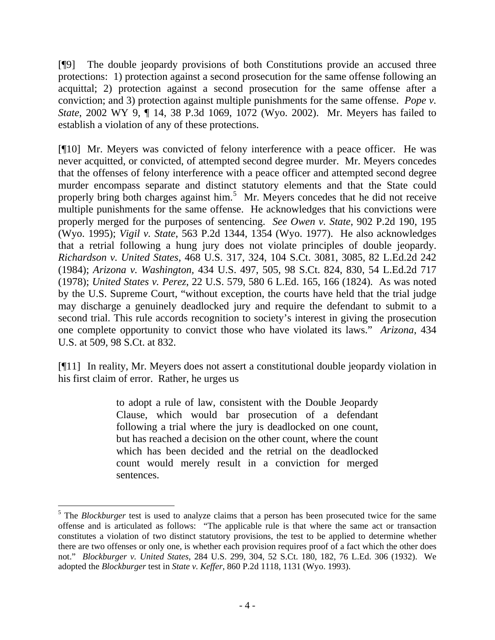[¶9] The double jeopardy provisions of both Constitutions provide an accused three protections: 1) protection against a second prosecution for the same offense following an acquittal; 2) protection against a second prosecution for the same offense after a conviction; and 3) protection against multiple punishments for the same offense. *Pope v. State*, 2002 WY 9, ¶ 14, 38 P.3d 1069, 1072 (Wyo. 2002). Mr. Meyers has failed to establish a violation of any of these protections.

[¶10] Mr. Meyers was convicted of felony interference with a peace officer. He was never acquitted, or convicted, of attempted second degree murder. Mr. Meyers concedes that the offenses of felony interference with a peace officer and attempted second degree murder encompass separate and distinct statutory elements and that the State could properly bring both charges against him.<sup>[5](#page-4-0)</sup> Mr. Meyers concedes that he did not receive multiple punishments for the same offense. He acknowledges that his convictions were properly merged for the purposes of sentencing. *See Owen v. State*, 902 P.2d 190, 195 (Wyo. 1995); *Vigil v. State*, 563 P.2d 1344, 1354 (Wyo. 1977). He also acknowledges that a retrial following a hung jury does not violate principles of double jeopardy. *Richardson v. United States*, 468 U.S. 317, 324, 104 S.Ct. 3081, 3085, 82 L.Ed.2d 242 (1984); *Arizona v. Washington,* 434 U.S. 497, 505, 98 S.Ct. 824, 830, 54 L.Ed.2d 717 (1978); *United States v. Perez*, 22 U.S. 579, 580 6 L.Ed. 165, 166 (1824). As was noted by the U.S. Supreme Court, "without exception, the courts have held that the trial judge may discharge a genuinely deadlocked jury and require the defendant to submit to a second trial. This rule accords recognition to society's interest in giving the prosecution one complete opportunity to convict those who have violated its laws." *Arizona*, 434 U.S. at 509, 98 S.Ct. at 832.

[¶11] In reality, Mr. Meyers does not assert a constitutional double jeopardy violation in his first claim of error. Rather, he urges us

> to adopt a rule of law, consistent with the Double Jeopardy Clause, which would bar prosecution of a defendant following a trial where the jury is deadlocked on one count, but has reached a decision on the other count, where the count which has been decided and the retrial on the deadlocked count would merely result in a conviction for merged sentences.

 $\overline{a}$ 

<span id="page-4-0"></span><sup>&</sup>lt;sup>5</sup> The *Blockburger* test is used to analyze claims that a person has been prosecuted twice for the same offense and is articulated as follows: "The applicable rule is that where the same act or transaction constitutes a violation of two distinct statutory provisions, the test to be applied to determine whether there are two offenses or only one, is whether each provision requires proof of a fact which the other does not." *Blockburger v. United States*, 284 U.S. 299, 304, 52 S.Ct. 180, 182, 76 L.Ed. 306 (1932). We adopted the *Blockburger* test in *State v. Keffer*, 860 P.2d 1118, 1131 (Wyo. 1993).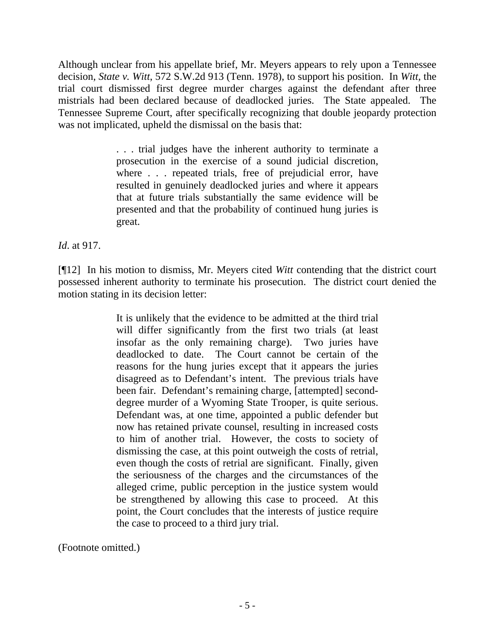Although unclear from his appellate brief, Mr. Meyers appears to rely upon a Tennessee decision, *State v. Witt*, 572 S.W.2d 913 (Tenn. 1978), to support his position. In *Witt,* the trial court dismissed first degree murder charges against the defendant after three mistrials had been declared because of deadlocked juries. The State appealed. The Tennessee Supreme Court, after specifically recognizing that double jeopardy protection was not implicated, upheld the dismissal on the basis that:

> . . . trial judges have the inherent authority to terminate a prosecution in the exercise of a sound judicial discretion, where . . . repeated trials, free of prejudicial error, have resulted in genuinely deadlocked juries and where it appears that at future trials substantially the same evidence will be presented and that the probability of continued hung juries is great.

*Id*. at 917.

[¶12] In his motion to dismiss, Mr. Meyers cited *Witt* contending that the district court possessed inherent authority to terminate his prosecution. The district court denied the motion stating in its decision letter:

> It is unlikely that the evidence to be admitted at the third trial will differ significantly from the first two trials (at least insofar as the only remaining charge). Two juries have deadlocked to date. The Court cannot be certain of the reasons for the hung juries except that it appears the juries disagreed as to Defendant's intent. The previous trials have been fair. Defendant's remaining charge, [attempted] seconddegree murder of a Wyoming State Trooper, is quite serious. Defendant was, at one time, appointed a public defender but now has retained private counsel, resulting in increased costs to him of another trial. However, the costs to society of dismissing the case, at this point outweigh the costs of retrial, even though the costs of retrial are significant. Finally, given the seriousness of the charges and the circumstances of the alleged crime, public perception in the justice system would be strengthened by allowing this case to proceed. At this point, the Court concludes that the interests of justice require the case to proceed to a third jury trial.

(Footnote omitted.)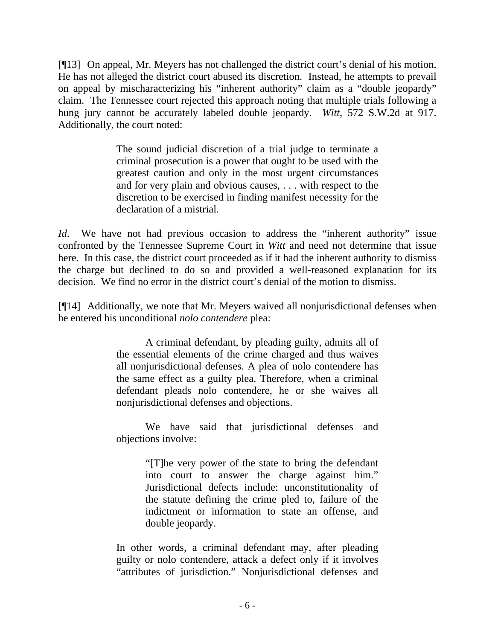[¶13] On appeal, Mr. Meyers has not challenged the district court's denial of his motion. He has not alleged the district court abused its discretion. Instead, he attempts to prevail on appeal by mischaracterizing his "inherent authority" claim as a "double jeopardy" claim. The Tennessee court rejected this approach noting that multiple trials following a hung jury cannot be accurately labeled double jeopardy. *Witt*, 572 S.W.2d at 917. Additionally, the court noted:

> The sound judicial discretion of a trial judge to terminate a criminal prosecution is a power that ought to be used with the greatest caution and only in the most urgent circumstances and for very plain and obvious causes, . . . with respect to the discretion to be exercised in finding manifest necessity for the declaration of a mistrial.

*Id*. We have not had previous occasion to address the "inherent authority" issue confronted by the Tennessee Supreme Court in *Witt* and need not determine that issue here. In this case, the district court proceeded as if it had the inherent authority to dismiss the charge but declined to do so and provided a well-reasoned explanation for its decision. We find no error in the district court's denial of the motion to dismiss.

[¶14] Additionally, we note that Mr. Meyers waived all nonjurisdictional defenses when he entered his unconditional *nolo contendere* plea:

> A criminal defendant, by pleading guilty, admits all of the essential elements of the crime charged and thus waives all nonjurisdictional defenses. A plea of nolo contendere has the same effect as a guilty plea. Therefore, when a criminal defendant pleads nolo contendere, he or she waives all nonjurisdictional defenses and objections.

> We have said that jurisdictional defenses and objections involve:

> > "[T]he very power of the state to bring the defendant into court to answer the charge against him." Jurisdictional defects include: unconstitutionality of the statute defining the crime pled to, failure of the indictment or information to state an offense, and double jeopardy.

In other words, a criminal defendant may, after pleading guilty or nolo contendere, attack a defect only if it involves "attributes of jurisdiction." Nonjurisdictional defenses and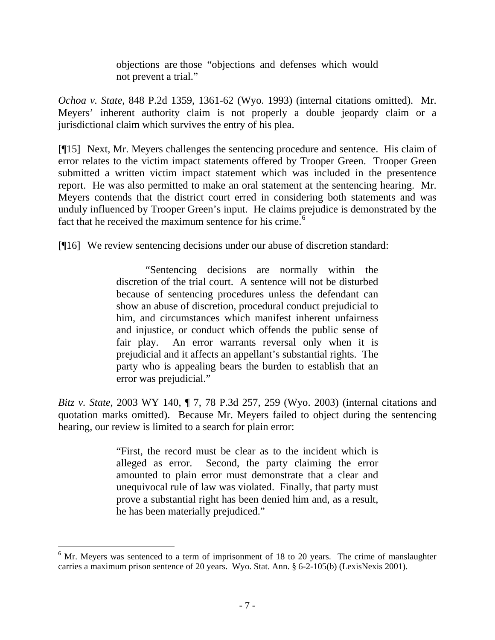objections are those "objections and defenses which would not prevent a trial."

*Ochoa v. State*, 848 P.2d 1359, 1361-62 (Wyo. 1993) (internal citations omitted). Mr. Meyers' inherent authority claim is not properly a double jeopardy claim or a jurisdictional claim which survives the entry of his plea.

[¶15] Next, Mr. Meyers challenges the sentencing procedure and sentence. His claim of error relates to the victim impact statements offered by Trooper Green. Trooper Green submitted a written victim impact statement which was included in the presentence report. He was also permitted to make an oral statement at the sentencing hearing. Mr. Meyers contends that the district court erred in considering both statements and was unduly influenced by Trooper Green's input. He claims prejudice is demonstrated by the fact that he received the maximum sentence for his crime. $6$ 

[¶16] We review sentencing decisions under our abuse of discretion standard:

"Sentencing decisions are normally within the discretion of the trial court. A sentence will not be disturbed because of sentencing procedures unless the defendant can show an abuse of discretion, procedural conduct prejudicial to him, and circumstances which manifest inherent unfairness and injustice, or conduct which offends the public sense of fair play. An error warrants reversal only when it is prejudicial and it affects an appellant's substantial rights. The party who is appealing bears the burden to establish that an error was prejudicial."

*Bitz v. State*, 2003 WY 140, ¶ 7, 78 P.3d 257, 259 (Wyo. 2003) (internal citations and quotation marks omitted). Because Mr. Meyers failed to object during the sentencing hearing, our review is limited to a search for plain error:

> "First, the record must be clear as to the incident which is alleged as error. Second, the party claiming the error amounted to plain error must demonstrate that a clear and unequivocal rule of law was violated. Finally, that party must prove a substantial right has been denied him and, as a result, he has been materially prejudiced."

 $\overline{a}$ 

<span id="page-7-0"></span> $6$  Mr. Meyers was sentenced to a term of imprisonment of 18 to 20 years. The crime of manslaughter carries a maximum prison sentence of 20 years. Wyo. Stat. Ann. § 6-2-105(b) (LexisNexis 2001).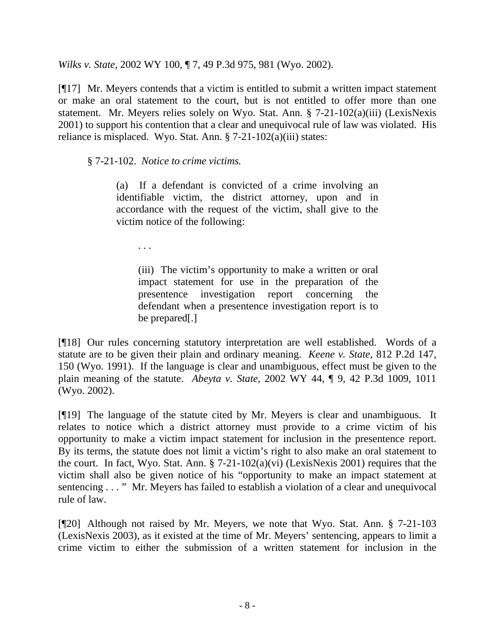*Wilks v. State*, 2002 WY 100, ¶ 7, 49 P.3d 975, 981 (Wyo. 2002).

[¶17] Mr. Meyers contends that a victim is entitled to submit a written impact statement or make an oral statement to the court, but is not entitled to offer more than one statement. Mr. Meyers relies solely on Wyo. Stat. Ann. § 7-21-102(a)(iii) (LexisNexis 2001) to support his contention that a clear and unequivocal rule of law was violated. His reliance is misplaced. Wyo. Stat. Ann. § 7-21-102(a)(iii) states:

§ 7-21-102. *Notice to crime victims.* 

(a) If a defendant is convicted of a crime involving an identifiable victim, the district attorney, upon and in accordance with the request of the victim, shall give to the victim notice of the following:

. . .

(iii) The victim's opportunity to make a written or oral impact statement for use in the preparation of the presentence investigation report concerning the defendant when a presentence investigation report is to be prepared[.]

[¶18] Our rules concerning statutory interpretation are well established. Words of a statute are to be given their plain and ordinary meaning. *Keene v. State*, 812 P.2d 147, 150 (Wyo. 1991). If the language is clear and unambiguous, effect must be given to the plain meaning of the statute. *Abeyta v. State*, 2002 WY 44, ¶ 9, 42 P.3d 1009, 1011 (Wyo. 2002).

[¶19] The language of the statute cited by Mr. Meyers is clear and unambiguous. It relates to notice which a district attorney must provide to a crime victim of his opportunity to make a victim impact statement for inclusion in the presentence report. By its terms, the statute does not limit a victim's right to also make an oral statement to the court. In fact, Wyo. Stat. Ann. § 7-21-102(a)(vi) (LexisNexis 2001) requires that the victim shall also be given notice of his "opportunity to make an impact statement at sentencing . . . " Mr. Meyers has failed to establish a violation of a clear and unequivocal rule of law.

[¶20] Although not raised by Mr. Meyers, we note that Wyo. Stat. Ann. § 7-21-103 (LexisNexis 2003), as it existed at the time of Mr. Meyers' sentencing, appears to limit a crime victim to either the submission of a written statement for inclusion in the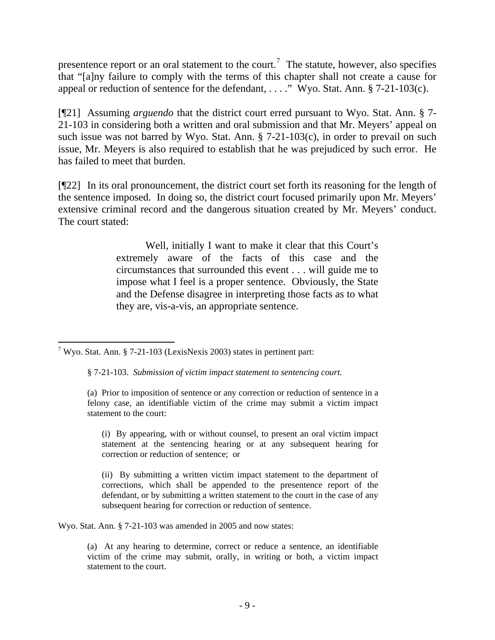presentence report or an oral statement to the court.<sup>[7](#page-9-0)</sup> The statute, however, also specifies that "[a]ny failure to comply with the terms of this chapter shall not create a cause for appeal or reduction of sentence for the defendant, . . . ." Wyo. Stat. Ann. § 7-21-103(c).

[¶21] Assuming *arguendo* that the district court erred pursuant to Wyo. Stat. Ann. § 7- 21-103 in considering both a written and oral submission and that Mr. Meyers' appeal on such issue was not barred by Wyo. Stat. Ann. § 7-21-103(c), in order to prevail on such issue, Mr. Meyers is also required to establish that he was prejudiced by such error. He has failed to meet that burden.

[¶22] In its oral pronouncement, the district court set forth its reasoning for the length of the sentence imposed. In doing so, the district court focused primarily upon Mr. Meyers' extensive criminal record and the dangerous situation created by Mr. Meyers' conduct. The court stated:

> Well, initially I want to make it clear that this Court's extremely aware of the facts of this case and the circumstances that surrounded this event . . . will guide me to impose what I feel is a proper sentence. Obviously, the State and the Defense disagree in interpreting those facts as to what they are, vis-a-vis, an appropriate sentence.

 $\overline{a}$ 

 (i) By appearing, with or without counsel, to present an oral victim impact statement at the sentencing hearing or at any subsequent hearing for correction or reduction of sentence; or

 (ii) By submitting a written victim impact statement to the department of corrections, which shall be appended to the presentence report of the defendant, or by submitting a written statement to the court in the case of any subsequent hearing for correction or reduction of sentence.

Wyo. Stat. Ann. § 7-21-103 was amended in 2005 and now states:

(a) At any hearing to determine, correct or reduce a sentence, an identifiable victim of the crime may submit, orally, in writing or both, a victim impact statement to the court.

<span id="page-9-0"></span><sup>&</sup>lt;sup>7</sup> Wyo. Stat. Ann. § 7-21-103 (LexisNexis 2003) states in pertinent part:

<sup>§ 7-21-103.</sup> *Submission of victim impact statement to sentencing court.* 

<sup>(</sup>a) Prior to imposition of sentence or any correction or reduction of sentence in a felony case, an identifiable victim of the crime may submit a victim impact statement to the court: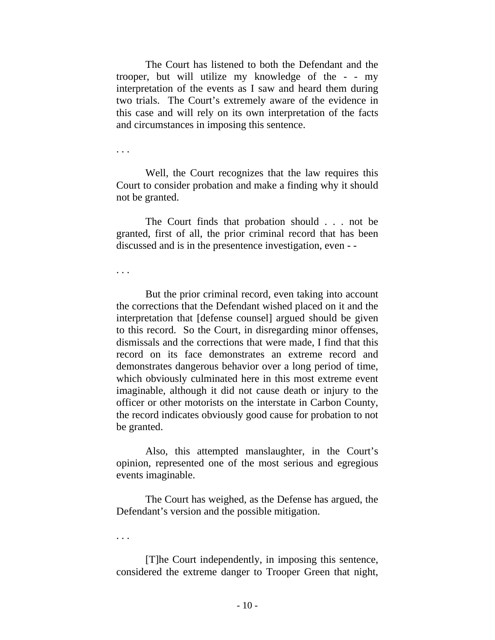The Court has listened to both the Defendant and the trooper, but will utilize my knowledge of the - - my interpretation of the events as I saw and heard them during two trials. The Court's extremely aware of the evidence in this case and will rely on its own interpretation of the facts and circumstances in imposing this sentence.

. . .

 Well, the Court recognizes that the law requires this Court to consider probation and make a finding why it should not be granted.

 The Court finds that probation should . . . not be granted, first of all, the prior criminal record that has been discussed and is in the presentence investigation, even - -

. . .

 But the prior criminal record, even taking into account the corrections that the Defendant wished placed on it and the interpretation that [defense counsel] argued should be given to this record. So the Court, in disregarding minor offenses, dismissals and the corrections that were made, I find that this record on its face demonstrates an extreme record and demonstrates dangerous behavior over a long period of time, which obviously culminated here in this most extreme event imaginable, although it did not cause death or injury to the officer or other motorists on the interstate in Carbon County, the record indicates obviously good cause for probation to not be granted.

 Also, this attempted manslaughter, in the Court's opinion, represented one of the most serious and egregious events imaginable.

 The Court has weighed, as the Defense has argued, the Defendant's version and the possible mitigation.

. . .

 [T]he Court independently, in imposing this sentence, considered the extreme danger to Trooper Green that night,